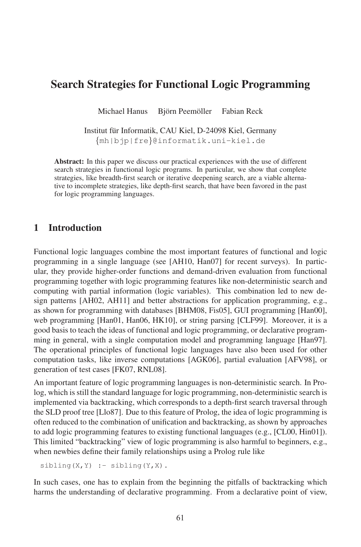# Search Strategies for Functional Logic Programming

Michael Hanus Björn Peemöller Fabian Reck

Institut für Informatik, CAU Kiel, D-24098 Kiel, Germany {mh|bjp|fre}@informatik.uni-kiel.de

Abstract: In this paper we discuss our practical experiences with the use of different search strategies in functional logic programs. In particular, we show that complete strategies, like breadth-first search or iterative deepening search, are a viable alternative to incomplete strategies, like depth-first search, that have been favored in the past ave to memprete strategies, the value

#### 1 Introduction

Functional logic languages combine the most important features of functional and logic programming in a single language (see [AH10, Han07] for recent surveys). In particprogramming in a single tanguage (see primary, manyly for recent sarveys). In parties ular, they provide higher-order functions and demand-driven evaluation from functional programming together with logic programming features like non-deterministic search and programming together with logic programming features like non-deterministic search and computing with partial information (logic variables). This combination led to new design patterns [AH02, AH11] and better abstractions for application programming, e.g., as shown for programming with databases [BHM08, Fis05], GUI programming [Han00], web programming [Han01, Han06, HK10], or string parsing [CLF99]. Moreover, it is a good basis to teach the ideas of functional and logic programming, or declarative programming in general, with a single computation model and programming language [Han97]. The operational principles of functional logic languages have also been used for other computation tasks, like inverse computations [AGK06], partial evaluation [AFV98], or generation of test cases [FK07, RNL08].

An important feature of logic programming languages is non-deterministic search. In Prolog, which isstill the standard language for logic programming, non-deterministic search is implemented via backtracking, which corresponds to a depth-first search traversal through implemented via backtracking, which corresponds to a depth-first search traversal through the SLD proof tree [Llo87]. Due to this feature of Prolog, the idea of logic programming is often reduced to the combination of unification and backtracking, as shown by approaches to add logic programming features to existing functional languages (e.g., [CL00, Hin01]). This limited "backtracking" view of logic programming is also harmful to beginners, e.g., when newbies define their family relationships using a Prolog rule like

 $sibling(X,Y) :- sibling(Y,X)$ .

In such cases, one has to explain from the beginning the pitfalls of backtracking which harms the understanding of declarative programming. From a declarative point of view,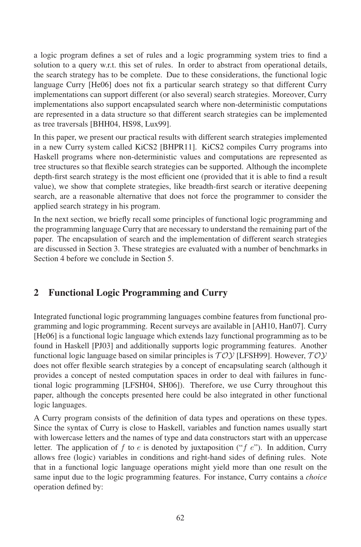a logic program defines a set of rules and a logic programming system tries to find a solution to a query w.r.t. this set of rules. In order to abstract from operational details, the search strategy has to be complete. Due to these considerations, the functional logic language Curry [He06] does not fix a particular search strategy so that different Curry implementations can support different (or also several) search strategies. Moreover, Curry implementations also support encapsulated search where non-deterministic computations are represented in a data structure so that different search strategies can be implemented as tree traversals [BHH04, HS98, Lux99].

In this paper, we present our practical results with different search strategies implemented in a new Curry system called KiCS2 [BHPR11]. KiCS2 compiles Curry programs into Haskell programs where non-deterministic values and computations are represented as the structures so that flexible search strategies can be supported. Although the incomplete depth-first search strategy is the most efficient one (provided that it is able to find a result value), we show that complete strategies, like breadth-first search or iterative deepening search, are a reasonable alternative that does not force the programmer to consider the applied search strategy in his program.

In the next section, we briefly recall some principles of functional logic programming and the programming language Curry that are necessary to understand the remaining part of the paper. The encapsulation of search and the implementation of different search strategies are discussed in Section 3. These strategies are evaluated with a number of benchmarks in Section 4 before we conclude in Section 5.

# 2 Functional Logic Programming and Curry

Integrated functional logic programming languages combine features from functional programming and logic programming. Recent surveys are available in [AH10, Han07]. Curry Framming and rogic programming. Recent sarveys are available in  $\{1, 1110, 1100\}$ . Early [He06] is a functional logic language which extends lazy functional programming as to be found in Haskell [PJ03] and additionally supports logic programming features. Another functional logic language based on similar principles is  $TOY$  [LFSH99]. However,  $TOY$ does not offer flexible search strategies by a concept of encapsulating search (although it does not offer flexible search strategies by a concept of encapsulating search (although it provides a concept of nested computation spaces in order to deal with failures in functional logic programming [LFSH04, SH06]). Therefore, we use Curry throughout this paper, although the concepts presented here could be also integrated in other functional paper, unnougn<br>logic languages.

A Curry program consists of the definition of data types and operations on these types. Since the syntax of Curry is close to Haskell, variables and function names usually start with lowercase letters and the names of type and data constructors start with an uppercase letter. The application of f to e is denoted by juxtaposition  $($ "f  $e$ "). In addition, Curry allows free (logic) variables in conditions and right-hand sides of defining rules. Note that in a functional logic language operations might yield more than one result on the same input due to the logic programming features. For instance, Curry contains a *choice* same mpar due to the<br>operation defined by: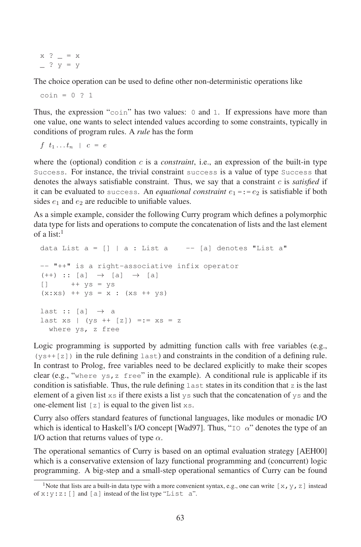$x$  ?  $= x$  $\frac{?y=y}{ }$ 

The choice operation can be used to define other non-deterministic operations like

 $\cosh = 0.21$ 

Thus, the expression "coin" has two values: <sup>0</sup> and <sup>1</sup>. If expressions have more than one value, one wants to select intended values according to some constraints, typically in conditions of program rules. A *rule* has the form

f  $t_1 \ldots t_n$  |  $c = e$ 

where the (optional) condition  $c$  is a *constraint*, i.e., an expression of the built-in type Success. For instance, the trivial constraint success is a value of type Success that denotes the always satisfiable constraint. Thus, we say that a constraint <sup>c</sup> is *satisfied* if it can be evaluated to success. An *equational constraint*  $e_1 = e_2$  is satisfiable if both sides  $e_1$  and  $e_2$  are reducible to unifiable values.

As a simple example, consider the following Curry program which defines a polymorphic data type for lists and operations to compute the concatenation of lists and the last element of a list: $\frac{1}{1}$ 

```
data List a = [] | a: List a --- [a] denotes "List a"
-- "++" is a right-associative infix operator
(++) :: [a] \rightarrow [a] \rightarrow [a]
[] ++ ys = ys
(x:xs) ++ ys = x : (xs + ys)last :: [a] \rightarrow a
last xs | (ys ++ [z]) =:= xs = z
  where ys, z free
```
Logic programming is supported by admitting function calls with free variables (e.g.,  $(ys++[z])$  in the rule defining last) and constraints in the condition of a defining rule. In contrast to Prolog, free variables need to be declared explicitly to make their scopes clear (e.g., "where ys, z free" in the example). A conditional rule is applicable if its condition is satisfiable. Thus, the rule defining last states in its condition that z is the last condition is satisfiable. Thus, the rule defining last states in its condition that z is the last element of a given list  $x_s$  if there exists a list  $y_s$  such that the concatenation of  $y_s$  and the one-element list  $[z]$  is equal to the given list  $x_s$ .

Curry also offers standard features of functional languages, like modules or monadic I/O which is identical to Haskell's I/O concept [Wad97]. Thus, " $I \circ \alpha$ " denotes the type of an I/O action that returns values of type  $\alpha$ .

The operational semantics of Curry is based on an optimal evaluation strategy [AEH00] which is a conservative extension of lazy functional programming and (concurrent) logic programming. A big-step and a small-step operational semantics of Curry can be found

<sup>&</sup>lt;sup>1</sup>Note that lists are a built-in data type with a more convenient syntax, e.g., one can write  $[x, y, z]$  instead of  $x:y:z:[]$  and  $[a]$  instead of the list type "List  $a$ ".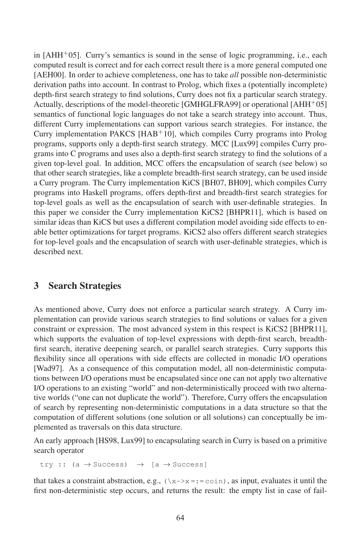in  $[AHH<sup>+</sup>05]$ . Curry's semantics is sound in the sense of logic programming, i.e., each computed result is correct and for each correct result there is a more general computed one [AEH00]. In order to achieve completeness, one has to take *all* possible non-deterministic derivation paths into account. In contrast to Prolog, which fixes a (potentially incomplete) depth-first search strategy to find solutions, Curry does not fix a particular search strategy. Actually, descriptions of the model-theoretic [GMHGLFRA99] or operational [AHH+05] semantics of functional logic languages do not take a search strategy into account. Thus, different Curry implementations can support various search strategies. For instance, the Curry implementation PAKCS [HAB+10], which compiles Curry programs into Prolog programs, supports only a depth-first search strategy. MCC [Lux99] compiles Curry programs into C programs and uses also a depth-first search strategy to find the solutions of a given top-level goal. In addition, MCC offers the encapsulation of search (see below) so that other search strategies, like a complete breadth-first search strategy, can be used inside a Curry program. The Curry implementation KiCS [BH07, BH09], which compiles Curry programs into Haskell programs, offers depth-first and breadth-first search strategies for top-level goals as well as the encapsulation of search with user-definable strategies. In this paper we consider the Curry implementation KiCS2 [BHPR11], which is based on similar ideas than KiCS but uses a different compilation model avoiding side effects to enable better optimizations for target programs. KiCS2 also offers different search strategies for top-level goals and the encapsulation of search with user-definable strategies, which is described next.

### 3 Search Strategies

As mentioned above, Curry does not enforce a particular search strategy. A Curry implementation can provide various search strategies to find solutions or values for a given constraint or expression. The most advanced system in this respect is KiCS2 [BHPR11], which supports the evaluation of top-level expressions with depth-first search, breadth-<br>which supports the evaluation of top-level expressions with depth-first search, breadthfirst search, iterative deepening search, or parallel search strategies. Curry supports this flexibility since all operations with side effects are collected in monadic I/O operations [Wad97]. As a consequence of this computation model, all non-deterministic computations between I/O operations must be encapsulated since one can not apply two alternative I/O operations to an existing "world" and non-deterministically proceed with two alternative worlds ("one can not duplicate the world"). Therefore, Curry offers the encapsulation of search by representing non-deterministic computations in a data structure so that the computation of different solutions (one solution or all solutions) can conceptually be implemented as traversals on this data structure.

An early approach [HS98, Lux99] to encapsulating search in Curry is based on a primitive search operator

try :: (a  $\rightarrow$  Success)  $\rightarrow$  [a  $\rightarrow$  Success]

that takes a constraint abstraction, e.g.,  $(\xrightarrow x = := \text{coin})$ , as input, evaluates it until the first non-deterministic step occurs, and returns the result: the empty list in case of fail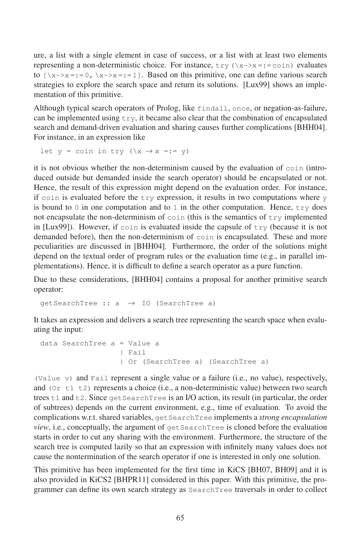ure, a list with a single element in case of success, or a list with at least two elements representing a non-deterministic choice. For instance,  $try (\xrightarrow{x>-}x = := coin)$  evaluates to  $[\x + -\infty]$  and determinant energy for a metallicity,  $\sum_{i=1}^n (\pi + n)^i$ . So  $\sum_{i=1}^n$  can define various search strategies to explore the search space and return its solutions. [Lux99] shows an implementation of this primitive.

Although typical search operators of Prolog, like findall, once, or negation-as-failure, can be implemented using  $try$ , it became also clear that the combination of encapsulated search and demand-driven evaluation and sharing causes further complications [BHH04]. For instance, in an expression like

let y = coin in try  $(\xrightarrow{x} \rightarrow x == y)$ 

it is not obvious whether the non-determinism caused by the evaluation of coin (introduced outside but demanded inside the search operator) should be encapsulated or not. Hence, the result of this expression might depend on the evaluation order. For instance, if coin is evaluated before the try expression, it results in two computations where y is bound to 0 in one computation and to 1 in the other computation. Hence,  $\text{tr } y$  does not encapsulate the non-determinism of  $\coin$  (this is the semantics of  $\forall xy$  implemented in [Lux99]). However, if coin is evaluated inside the capsule of  $try$  (because it is not demanded before), then the non-determinism of  $\co$  in is encapsulated. These and more peculiarities are discussed in [BHH04]. Furthermore, the order of the solutions might depend on the textual order of program rules or the evaluation time (e.g., in parallel implementations). Hence, it is difficult to define a search operator as a pure function.

Due to these considerations, [BHH04] contains a proposal for another primitive search operator:

qetSearchTree ::  $a \rightarrow$  IO (SearchTree a)

It takes an expression and delivers a search tree representing the search space when evaluating the input:

```
data SearchTree a=Value a
                | Fail
                 | Or (SearchTree a) (SearchTree a)
```
(Value v) and Fail represent a single value or a failure (i.e., no value), respectively, and  $(0r + 1 + 2)$  represents a choice (i.e., a non-deterministic value) between two search trees  $t1$  and  $t2$ . Since  $getSearchTree$  is an I/O action, its result (in particular, the order of subtrees) depends on the current environment, e.g., time of evaluation. To avoid the complications w.r.t. shared variables, getSearchTree implements <sup>a</sup> *strong encapsulation view*, i.e., conceptually, the argument of getSearchTree is cloned before the evaluation starts in order to cut any sharing with the environment. Furthermore, the structure of the states in order to eat any sharing with the environment. I atthermore, the structure of the search tree is computed lazily so that an expression with infinitely many values does not cause the nontermination of the search operator if one is interested in only one solution.

This primitive has been implemented for the first time in KiCS [BH07, BH09] and it is also provided in KiCS2 [BHPR11] considered in this paper. With this primitive, the programmer can define its own search strategy as SearchTree traversals in order to collect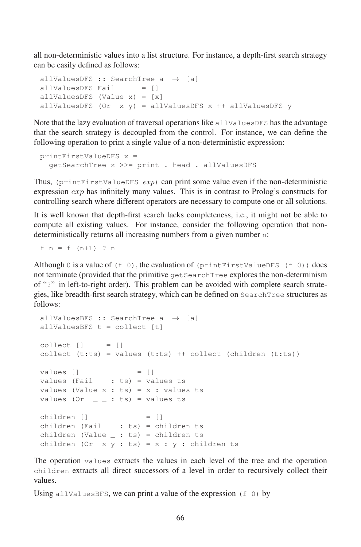all non-deterministic values into a list structure. For instance, a depth-first search strategy can be easily defined as follows:

```
allValuesDFS :: SearchTree a \rightarrow [a]<br>allValuesDFS Fail = []
allValuesDFS Fail
allValuesDFS (Value x) = [x]
allValuesDFS (Or x y) = allValuesDFS x ++ allValuesDFS y
```
Note that the lazy evaluation of traversal operations like allValuesDFS has the advantage that the search strategy is decoupled from the control. For instance, we can define the following operation to print a single value of a non-deterministic expression:

```
printFirstValueDFS x =
  getSearchTree x >>= print . head . allValuesDFS
```
Thus, (printFirstValueDFS exp) can print some value even if the non-deterministic expression  $exp$  has infinitely many values. This is in contrast to Prolog's constructs for controlling search where different operators are necessary to compute one or all solutions.

It is well known that depth-first search lacks completeness, i.e., it might not be able to compute all existing values. For instance, consider the following operation that nondeterministically returns all increasing numbers from a given number <sup>n</sup>:

f  $n = f(n+1)$  ? n

Although 0 is a value of  $(f \ 0)$ , the evaluation of (printFirstValueDFS  $(f \ 0)$ ) does not terminate (provided that the primitive getSearchTree explores the non-determinism of "?" in left-to-right order). This problem can be avoided with complete search strategies, like breadth-first search strategy, which can be defined on SearchTree structures as follows:

```
allValuesBFS :: SearchTree a \rightarrow [a]
allValuesBFS t = collect [t]
collect \t[ ] = []collect (t:ts) = values (t:ts) ++ collect (children (t:ts))values \begin{bmatrix} 1 \\ 1 \end{bmatrix} = \begin{bmatrix} 1 \\ 1 \end{bmatrix}values (Fail : ts) = values ts
values (Value x : ts) = x : values ts
values (Or = = \pm ts) = values ts
children \begin{bmatrix} 1 \\ 1 \end{bmatrix} = \begin{bmatrix} 1 \\ 1 \end{bmatrix}children (Fail : ts) = children ts
children (Value \_ : ts) = children ts
children (Or x y : ts) = x : y : children ts
```
The operation values extracts the values in each level of the tree and the operation children extracts all direct successors of a level in order to recursively collect their values.

Using all ValuesBFS, we can print a value of the expression  $(f \ 0)$  by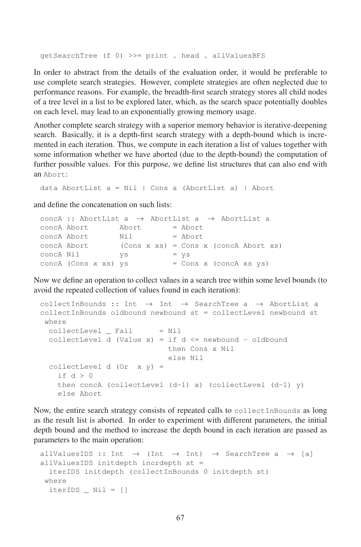getSearchTree (f 0) >>= print . head . allValuesBFS

In order to abstract from the details of the evaluation order, it would be preferable to use complete search strategies. However, complete strategies are often neglected due to performance reasons. For example, the breadth-first search strategy stores all child nodes of a tree level inalist to be explored later, which, as the search space potentially doubles on each level, may lead to an exponentially growing memory usage.

Another complete search strategy with a superior memory behavior is iterative-deepening search. Basically, it is a depth-first search strategy with a depth-bound which is incremented in each iteration. Thus, we compute in each iteration a list of values together with some information whether we have aborted (due to the depth-bound) the computation of further possible values. For this purpose, we define list structures that can also end with an Abort:

data AbortList  $a = Nil$  | Cons a (AbortList a) | Abort

and define the concatenation on such lists:

|           |                      |       | concA :: AbortList a $\rightarrow$ AbortList a $\rightarrow$ AbortList a |
|-----------|----------------------|-------|--------------------------------------------------------------------------|
|           | concA Abort          | Abort | = Abort                                                                  |
|           | concA Abort          | Nil   | $=$ Abort                                                                |
|           | concA Abort          |       | $(Cons x xs) = Cons x (concA Abort xs)$                                  |
| concA Nil |                      | VS    | $= \forall s$                                                            |
|           | concA (Cons x xs) ys |       | $=$ Cons x (conc $A$ xs ys)                                              |
|           |                      |       |                                                                          |

Now we define an operation to collect values in a search tree within some level bounds (to avoid the repeated collection of values found in each iteration):

```
collectInBounds :: Int \rightarrow Int \rightarrow SearchTree a \rightarrow AbortList a
collectInBounds oldbound newbound st = collectLevel newbound st
 where
  collectLevel = Nil = NilcollectLevel d (Value x) = if d \leq newbound - oldbound
                              then Cons x Nil
                              else Nil
  collectLevel d (Or x y) =
    if d>0then concA (collectLevel (d-1) x) (collectLevel (d-1) y)
    else Abort
```
Now, the entire search strategy consists of repeated calls to collectInBounds as long as the result list is aborted. In order to experiment with different parameters, the initial depth bound and the method to increase the depth bound in each iteration are passed as parameters to the main operation:

```
allValuesIDS :: Int \rightarrow (Int \rightarrow Int) \rightarrow SearchTree a \rightarrow [a]
allValuesIDS initdepth incrdepth st =
  iterIDS initdepth (collectInBounds 0 initdepth st)
 where
  iterIDS Nil = []
```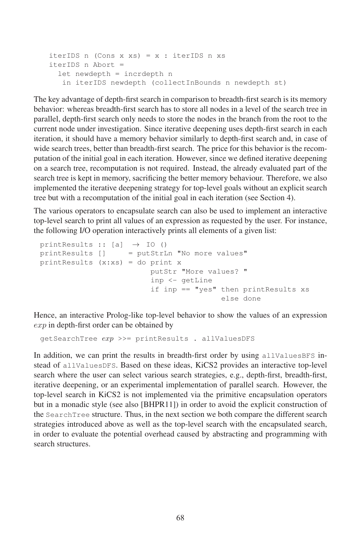```
iterIDS n (Cons x xs) = x : iterIDS n xs
iterIDS n Abort =
 let newdepth = incrdepth n
   in iterIDS newdepth (collectInBounds n newdepth st)
```
The key advantage of depth-first search in comparison to breadth-first search is its memory behavior: whereas breadth-first search has to store all nodes in a level of the search tree in parallel, depth-first search only needs to store the nodes in the branch from the root to the current node under investigation. Since iterative deepening uses depth-first search in each iteration, it should have a memory behavior similarly to depth-first search and, in case of wide search trees, better than breadth-first search. The price for this behavior is the recomputation of the initial goal in each iteration. However, since we defined iterative deepening on a search tree, recomputation is not required. Instead, the already evaluated part of the search tree is kept in memory, sacrificing the better memory behaviour. Therefore, we also implemented the iterative deepening strategy for top-level goals without an explicit search tree but with a recomputation of the initial goal in each iteration (see Section 4).

The various operators to encapsulate search can also be used to implement an interactive top-level search to print all values of an expression as requested by the user. For instance, the following I/O operation interactively prints all elements of a given list:

```
printResults :: [a] \rightarrow IO ()<br>printResults [] = putStrL
                   = putStrLn "No more values"
printResults (x:xs) = do print x
                              putStr "More values? "
                              inp <- getLine
                              if inp == "yes" then printResults xs
                                                 else done
```
Hence, an interactive Prolog-like top-level behavior to show the values of an expression exp in depth-first order can be obtained by

```
getSearchTree exp >>= printResults . allValuesDFS
```
In addition, we can print the results in breadth-first order by using allValuesBFS instead of allValuesDFS. Based on these ideas, KiCS2 provides an interactive top-level search where the user can select various search strategies, e.g., depth-first, breadth-first, iterative deepening, or an experimental implementation of parallel search. However, the top-level search in KiCS2 is not implemented via the primitive encapsulation operators but in a monadic style (see also [BHPR11]) in order to avoid the explicit construction of the SearchTree structure. Thus, in the next section we both compare the different search strategies introduced above as well as the top-level search with the encapsulated search, in order to evaluate the potential overhead caused by abstracting and programming with m order to evaluate.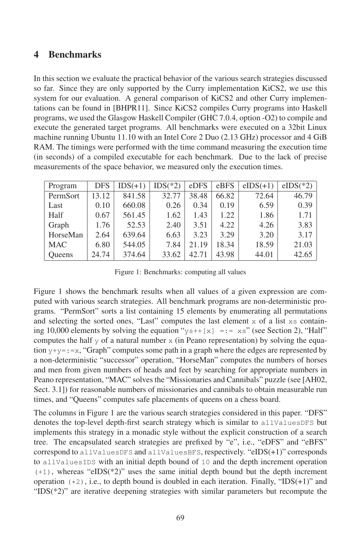#### 4 Benchmarks

In this section we evaluate the practical behavior of the various search strategies discussed so far. Since they are only supported by the Curry implementation KiCS2, we use this system for our evaluation. A general comparison of KiCS2 and other Curry implementations can be found in [BHPR11]. Since KiCS2 compiles Curry programs into Haskell programs, we used the Glasgow Haskell Compiler (GHC 7.0.4, option -O2) to compile and execute the generated target programs. All benchmarks were executed on a 32bit Linux machine running Ubuntu 11.10 with an Intel Core 2 Duo (2.13 GHz) processor and 4 GiB RAM. The timings were performed with the time command measuring the execution time (in seconds) of a compiled executable for each benchmark. Due to the lack of precise measurements of the space behavior, we measured only the execution times.

| Program       | <b>DFS</b> | $IDS(+1)$ | $IDS(*2)$ | eDFS  | eBFS  | $eIDS(+1)$ | $eIDS(*2)$ |
|---------------|------------|-----------|-----------|-------|-------|------------|------------|
| PermSort      | 13.12      | 841.58    | 32.77     | 38.48 | 66.82 | 72.64      | 46.79      |
| Last          | 0.10       | 660.08    | 0.26      | 0.34  | 0.19  | 6.59       | 0.39       |
| Half          | 0.67       | 561.45    | 1.62      | 1.43  | 1.22  | 1.86       | 1.71       |
| Graph         | 1.76       | 52.53     | 2.40      | 3.51  | 4.22  | 4.26       | 3.83       |
| HorseMan      | 2.64       | 639.64    | 6.63      | 3.23  | 3.29  | 3.20       | 3.17       |
| <b>MAC</b>    | 6.80       | 544.05    | 7.84      | 21.19 | 18.34 | 18.59      | 21.03      |
| <b>Oueens</b> | 24.74      | 374.64    | 33.62     | 42.71 | 43.98 | 44.01      | 42.65      |

Figure 1: Benchmarks: computing all values

Figure 1 shows the benchmark results when all values of a given expression are computed with various search strategies. All benchmark programs are non-deterministic programs. "PermSort" sorts a list containing 15 elements by enumerating all permutations and selecting the sorted ones, "Last" computes the last element  $x$  of a list  $xs$  containing 10,000 elements by solving the equation " $y s++[x] =: \pm s$ " (see Section 2), "Half" computes the half y of a natural number  $x$  (in Peano representation) by solving the equa-<br>computes the half y of a natural number  $x$  (in Peano representation) by solving the equation  $y+y=:=x$ , "Graph" computes some path in a graph where the edges are represented by  $\lim_{x \to a} \lim_{x \to a} \lim_{x \to a} \lim_{x \to a} \lim_{x \to a} \lim_{x \to a} \lim_{x \to a} \lim_{x \to a} \lim_{x \to a} \lim_{x \to a} \lim_{x \to a} \lim_{x \to a} \lim_{x \to a} \lim_{x \to a} \lim_{x \to a} \lim_{x \to a} \lim_{x \to a} \lim_{x \to a} \lim_{x \to a} \lim_{x \to a} \lim_{x \to a} \lim_{x \to a} \lim_{x \to a} \lim_{x \to a} \lim_{x \to a} \lim_{x \to a} \lim_{x \to a} \lim_{x$ a non determinate successor operation, richterian computes are namely or norses and men from given numbers of heads and feet by searching for appropriate numbers in Peano representation, "MAC" solves the "Missionaries and Cannibals" puzzle (see [AH02, Sect. 3.1) for reasonable numbers of missionaries and cannibals to obtain measurable run times, and "Queens" computes safe placements of queens on a chess board.

The columns in Figure 1 are the various search strategies considered in this paper. "DFS" denotes the top-level depth-first search strategy which is similar to allValuesDFS but implements this strategy in a monadic style without the explicit construction of a search tree. The encapsulated search strategies are prefixed by "e", i.e., "eDFS" and "eBFS" correspond to allValuesDFS and allValuesBFS, respectively. "eIDS(+1)" corresponds to all Values IDS with an initial depth bound of  $10$  and the depth increment operation  $(+1)$ , whereas "eIDS( $*2$ )" uses the same initial depth bound but the depth increment operation  $(*2)$ , i.e., to depth bound is doubled in each iteration. Finally, "IDS(+1)" and operation  $(*2)$ , i.e., to depth bound is doubled in each iteration. Finally, "IDS(+1)" and  $\text{FDS}(\text{*}2)$ " are iterative deepening strategies with similar parameters but recompute the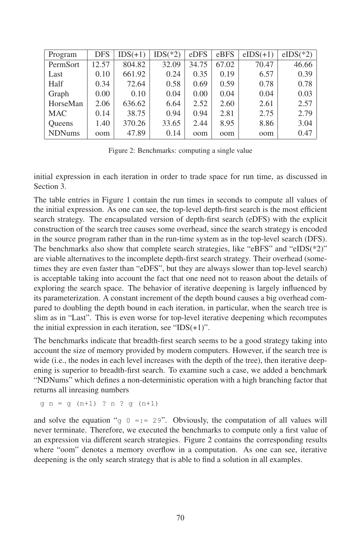| Program       | <b>DFS</b> | $IDS(+1)$ | $IDS(*2)$ | eDFS  | eBFS  | $eIDS(+1)$ | $eIDS(*2)$ |
|---------------|------------|-----------|-----------|-------|-------|------------|------------|
| PermSort      | 12.57      | 804.82    | 32.09     | 34.75 | 67.02 | 70.47      | 46.66      |
| Last          | 0.10       | 661.92    | 0.24      | 0.35  | 0.19  | 6.57       | 0.39       |
| Half          | 0.34       | 72.64     | 0.58      | 0.69  | 0.59  | 0.78       | 0.78       |
| Graph         | 0.00       | 0.10      | 0.04      | 0.00  | 0.04  | 0.04       | 0.03       |
| HorseMan      | 2.06       | 636.62    | 6.64      | 2.52  | 2.60  | 2.61       | 2.57       |
| <b>MAC</b>    | 0.14       | 38.75     | 0.94      | 0.94  | 2.81  | 2.75       | 2.79       |
| <b>Oueens</b> | 1.40       | 370.26    | 33.65     | 2.44  | 8.95  | 8.86       | 3.04       |
| <b>NDNums</b> | oom        | 47.89     | 0.14      | oom   | oom   | oom        | 0.47       |

Figure 2: Benchmarks: computing a single value

initial expression in each iteration in order to trade space for run time, as discussed in Section 3.

The table entries in Figure 1 contain the run times in seconds to compute all values of the initial expression. As one can see, the top-level depth-first search is the most efficient search strategy. The encapsulated version of depth-first search (eDFS) with the explicit construction of the search tree causes some overhead, since the search strategy is encoded in the source program rather than in the run-time system as in the top-level search (DFS). The benchmarks also show that complete search strategies, like "eBFS" and "eIDS(\*2)" are viable alternatives to the incomplete depth-first search strategy. Their overhead (sometimes they are even faster than "eDFS", but they are always slower than top-level search) is acceptable taking into account the fact that one need not to reason about the details of exploring the search space. The behavior of iterative deepening is largely influenced by<br>exploring the search space. The behavior of iterative deepening is largely influenced by its parameterization. A constant increment of the depth bound causes a big overhead compared to doubling the depth bound in each iteration, in particular, when the search tree is slim as in "Last". This is even worse for top-level iterative deepening which recomputes the initial expression in each iteration, see "IDS(+1)".

The benchmarks indicate that breadth-first search seems to be a good strategy taking into account the size of memory provided by modern computers. However, if the search tree is wide (i.e., the nodes in each level increases with the depth of the tree), then iterative deep-<br>wide (i.e., the nodes in each level increases with the depth of the tree), then iterative deepening is superior to breadth-first search. To examine such a case, we added a benchmark "NDNums" which defines a non-deterministic operation with a high branching factor that returns all inreasing numbers

gn=g(n+1) ?n?g(n+1)

and solve the equation "g  $0 == 29$ ". Obviously, the computation of all values will never terminate. Therefore, we executed the benchmarks to compute only a first value of an expression via different search strategies. Figure 2 contains the corresponding results where "oom" denotes a memory overflow in a computation. As one can see, iterative deepening is the only search strategy that is able to find a solution in all examples.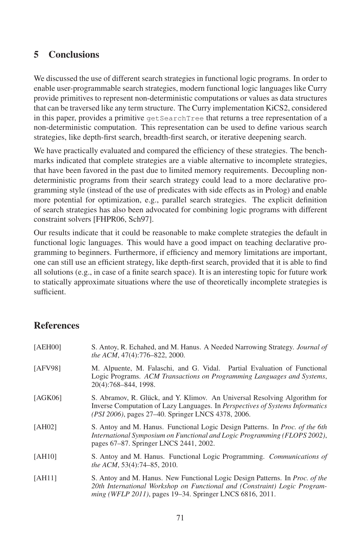### 5 Conclusions

We discussed the use of different search strategies in functional logic programs. In order to enable user-programmable search strategies, modern functional logic languages like Curry provide primitives to represent non-deterministic computations or values as data structures that can be traversed like any term structure. The Curry implementation KiCS2, considered in this paper, provides a primitive get SearchTree that returns a tree representation of a non-deterministic computation. This representation can be used to define various search strategies, like depth-first search, breadth-first search, or iterative deepening search.

We have practically evaluated and compared the efficiency of these strategies. The benchmarks indicated that complete strategies are a viable alternative to incomplete strategies, the strategies, that have been favored in the past due to limited memory requirements. Decoupling nondeterministic programs from their search strategy could lead to a more declarative programming style (instead of the use of predicates with side effects as in Prolog) and enable more potential for optimization, e.g., parallel search strategies. The explicit definition of search strategies has also been advocated for combining logic programs with different constraint solvers [FHPR06, Sch97].

Our results indicate that it could be reasonable to make complete strategies the default in functional logic languages. This would have a good impact on teaching declarative programming to beginners. Furthermore, if efficiency and memory limitations are important, one can still use an efficient strategy, like depth-first search, provided that it is able to find all solutions (e.g., in case of a finite search space). It is an interesting topic for future work to statically approximate situations where the use of theoretically incomplete strategies is sufficient.

## **References**

| [AEH00] | S. Antoy, R. Echahed, and M. Hanus. A Needed Narrowing Strategy. <i>Journal of</i><br>the ACM, 47(4):776-822, 2000.                                                                                                                  |  |  |  |  |  |
|---------|--------------------------------------------------------------------------------------------------------------------------------------------------------------------------------------------------------------------------------------|--|--|--|--|--|
| [AFV98] | M. Alpuente, M. Falaschi, and G. Vidal. Partial Evaluation of Functional<br>Logic Programs. ACM Transactions on Programming Languages and Systems,<br>20(4):768-844, 1998.                                                           |  |  |  |  |  |
| [AGK06] | S. Abramov, R. Glück, and Y. Klimov. An Universal Resolving Algorithm for<br>Inverse Computation of Lazy Languages. In <i>Perspectives of Systems Informatics</i><br><i>(PSI 2006)</i> , pages 27–40. Springer LNCS 4378, 2006.      |  |  |  |  |  |
| [AH02]  | S. Antoy and M. Hanus. Functional Logic Design Patterns. In <i>Proc. of the 6th</i><br>International Symposium on Functional and Logic Programming (FLOPS 2002),<br>pages 67–87. Springer LNCS 2441, 2002.                           |  |  |  |  |  |
| [AH10]  | S. Antoy and M. Hanus. Functional Logic Programming. Communications of<br>the ACM, 53(4):74–85, 2010.                                                                                                                                |  |  |  |  |  |
| [AH11]  | S. Antoy and M. Hanus. New Functional Logic Design Patterns. In <i>Proc. of the</i><br>20th International Workshop on Functional and (Constraint) Logic Program-<br><i>ming (WFLP 2011)</i> , pages 19–34. Springer LNCS 6816, 2011. |  |  |  |  |  |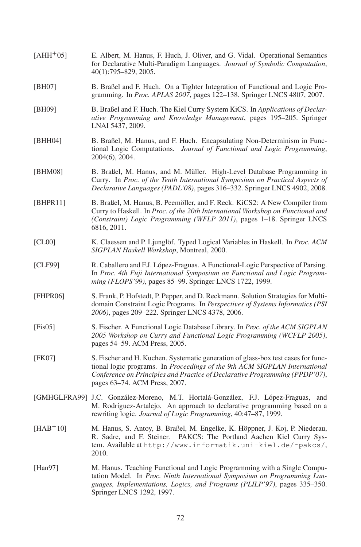| $[AHH^+05]$ | E. Albert, M. Hanus, F. Huch, J. Oliver, and G. Vidal. Operational Semantics<br>for Declarative Multi-Paradigm Languages. Journal of Symbolic Computation,<br>40(1):795-829, 2005.                                                                                              |
|-------------|---------------------------------------------------------------------------------------------------------------------------------------------------------------------------------------------------------------------------------------------------------------------------------|
| [BH07]      | B. Braßel and F. Huch. On a Tighter Integration of Functional and Logic Pro-<br>gramming. In Proc. APLAS 2007, pages 122-138. Springer LNCS 4807, 2007.                                                                                                                         |
| [BH09]      | B. Braßel and F. Huch. The Kiel Curry System KiCS. In Applications of Declar-<br>ative Programming and Knowledge Management, pages 195-205. Springer<br>LNAI 5437, 2009.                                                                                                        |
| [BHH04]     | B. Braßel, M. Hanus, and F. Huch. Encapsulating Non-Determinism in Func-<br>tional Logic Computations. Journal of Functional and Logic Programming,<br>$2004(6)$ , $2004$ .                                                                                                     |
| [BHM08]     | B. Braßel, M. Hanus, and M. Müller. High-Level Database Programming in<br>Curry. In Proc. of the Tenth International Symposium on Practical Aspects of<br>Declarative Languages (PADL'08), pages 316-332. Springer LNCS 4902, 2008.                                             |
| [BHPR11]    | B. Braßel, M. Hanus, B. Peemöller, and F. Reck. KiCS2: A New Compiler from<br>Curry to Haskell. In Proc. of the 20th International Workshop on Functional and<br>(Constraint) Logic Programming (WFLP 2011), pages 1-18. Springer LNCS<br>6816, 2011.                           |
| [CL00]      | K. Claessen and P. Ljunglöf. Typed Logical Variables in Haskell. In Proc. ACM<br>SIGPLAN Haskell Workshop, Montreal, 2000.                                                                                                                                                      |
| [CLF99]     | R. Caballero and F.J. López-Fraguas. A Functional-Logic Perspective of Parsing.<br>In Proc. 4th Fuji International Symposium on Functional and Logic Program-<br>ming (FLOPS'99), pages 85–99. Springer LNCS 1722, 1999.                                                        |
| [FHPR06]    | S. Frank, P. Hofstedt, P. Pepper, and D. Reckmann. Solution Strategies for Multi-<br>domain Constraint Logic Programs. In Perspectives of Systems Informatics (PSI<br>2006), pages 209–222. Springer LNCS 4378, 2006.                                                           |
| [Fis05]     | S. Fischer. A Functional Logic Database Library. In Proc. of the ACM SIGPLAN<br>2005 Workshop on Curry and Functional Logic Programming (WCFLP 2005),<br>pages 54–59. ACM Press, 2005.                                                                                          |
| [FK07]      | S. Fischer and H. Kuchen. Systematic generation of glass-box test cases for func-<br>tional logic programs. In Proceedings of the 9th ACM SIGPLAN International<br>Conference on Principles and Practice of Declarative Programming (PPDP'07),<br>pages 63–74. ACM Press, 2007. |
|             | [GMHGLFRA99] J.C. González-Moreno, M.T. Hortalá-González, F.J. López-Fraguas, and<br>M. Rodríguez-Artalejo. An approach to declarative programming based on a<br>rewriting logic. Journal of Logic Programming, 40:47-87, 1999.                                                 |
| $[HAB+10]$  | M. Hanus, S. Antoy, B. Braßel, M. Engelke, K. Höppner, J. Koj, P. Niederau,<br>R. Sadre, and F. Steiner. PAKCS: The Portland Aachen Kiel Curry Sys-<br>tem. Available at http://www.informatik.uni-kiel.de/~pakcs/,<br>2010.                                                    |
| [Han97]     | M. Hanus. Teaching Functional and Logic Programming with a Single Compu-<br>tation Model. In Proc. Ninth International Symposium on Programming Lan-<br>guages, Implementations, Logics, and Programs (PLILP'97), pages 335–350.<br>Springer LNCS 1292, 1997.                   |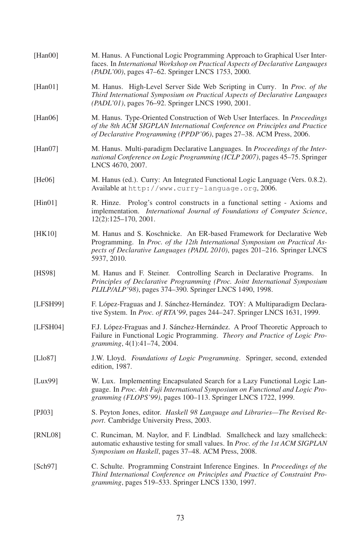| [Han00]  | M. Hanus. A Functional Logic Programming Approach to Graphical User Inter-<br>faces. In International Workshop on Practical Aspects of Declarative Languages<br>(PADL'00), pages 47–62. Springer LNCS 1753, 2000.                              |
|----------|------------------------------------------------------------------------------------------------------------------------------------------------------------------------------------------------------------------------------------------------|
| [Han01]  | M. Hanus. High-Level Server Side Web Scripting in Curry. In Proc. of the<br>Third International Symposium on Practical Aspects of Declarative Languages<br>(PADL'01), pages 76–92. Springer LNCS 1990, 2001.                                   |
| [Han06]  | M. Hanus. Type-Oriented Construction of Web User Interfaces. In Proceedings<br>of the 8th ACM SIGPLAN International Conference on Principles and Practice<br>of Declarative Programming (PPDP'06), pages 27-38. ACM Press, 2006.               |
| [Han07]  | M. Hanus. Multi-paradigm Declarative Languages. In Proceedings of the Inter-<br>national Conference on Logic Programming (ICLP 2007), pages 45–75. Springer<br>LNCS 4670, 2007.                                                                |
| [He06]   | M. Hanus (ed.). Curry: An Integrated Functional Logic Language (Vers. 0.8.2).<br>Available at http://www.curry-language.org, 2006.                                                                                                             |
| [Hint01] | R. Hinze. Prolog's control constructs in a functional setting - Axioms and<br>implementation. International Journal of Foundations of Computer Science,<br>$12(2):125-170, 2001.$                                                              |
| [HK10]   | M. Hanus and S. Koschnicke. An ER-based Framework for Declarative Web<br>Programming. In Proc. of the 12th International Symposium on Practical As-<br>pects of Declarative Languages (PADL 2010), pages 201-216. Springer LNCS<br>5937, 2010. |
| [HS98]   | M. Hanus and F. Steiner. Controlling Search in Declarative Programs. In<br>Principles of Declarative Programming (Proc. Joint International Symposium<br>PLILP/ALP'98), pages 374–390. Springer LNCS 1490, 1998.                               |
| [LFSH99] | F. López-Fraguas and J. Sánchez-Hernández. TOY: A Multiparadigm Declara-<br>tive System. In <i>Proc. of RTA</i> '99, pages 244–247. Springer LNCS 1631, 1999.                                                                                  |
| [LFSH04] | F.J. López-Fraguas and J. Sánchez-Hernández. A Proof Theoretic Approach to<br>Failure in Functional Logic Programming. Theory and Practice of Logic Pro-<br>gramming, 4(1):41-74, 2004.                                                        |
| [Llo87]  | J.W. Lloyd. Foundations of Logic Programming. Springer, second, extended<br>edition, 1987.                                                                                                                                                     |
| [Lux99]  | W. Lux. Implementing Encapsulated Search for a Lazy Functional Logic Lan-<br>guage. In Proc. 4th Fuji International Symposium on Functional and Logic Pro-<br>gramming (FLOPS'99), pages 100-113. Springer LNCS 1722, 1999.                    |
| [PJ03]   | S. Peyton Jones, editor. Haskell 98 Language and Libraries-The Revised Re-<br>port. Cambridge University Press, 2003.                                                                                                                          |
| [RNL08]  | C. Runciman, M. Naylor, and F. Lindblad. Smallcheck and lazy smallcheck:<br>automatic exhaustive testing for small values. In Proc. of the 1st ACM SIGPLAN<br>Symposium on Haskell, pages 37-48. ACM Press, 2008.                              |
| [Sch97]  | C. Schulte. Programming Constraint Inference Engines. In <i>Proceedings of the</i><br>Third International Conference on Principles and Practice of Constraint Pro-<br><i>gramming</i> , pages 519–533. Springer LNCS 1330, 1997.               |